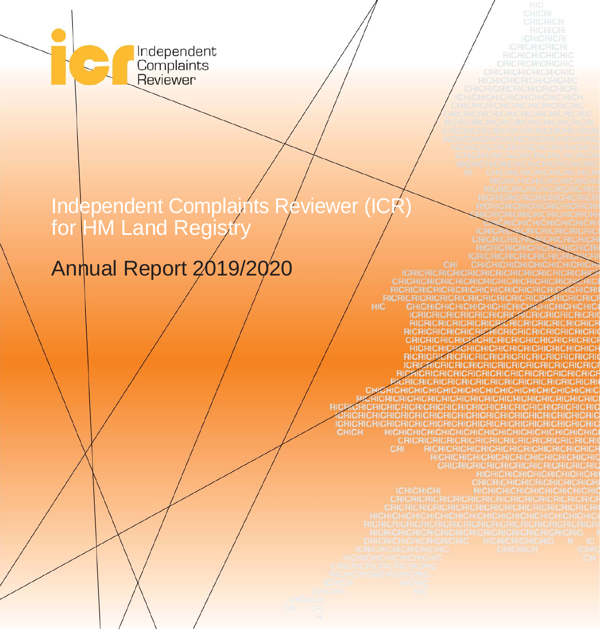Independent<br>Complaints<br>Reviewer

# Independent Complaints Reviewer (ICR) for HM Land Registry

# Annual Report 2019/2020

HICHIC<br>HICHICH<br>HIC CH **RIC** CRICRICRICRIC **CHICHICHICHICHICH ICRICRICRICRICRICRICA ICRICRICRICRICRICR** CHICHICHICHICH<br>ICHICHICHICHICH<br>CHICH HICHI **HICHICHICH** CRICRICI **RICRICRICRIC** RICRICRICRICRICRICRICRICR<br>CRICRICAICAICRICAICH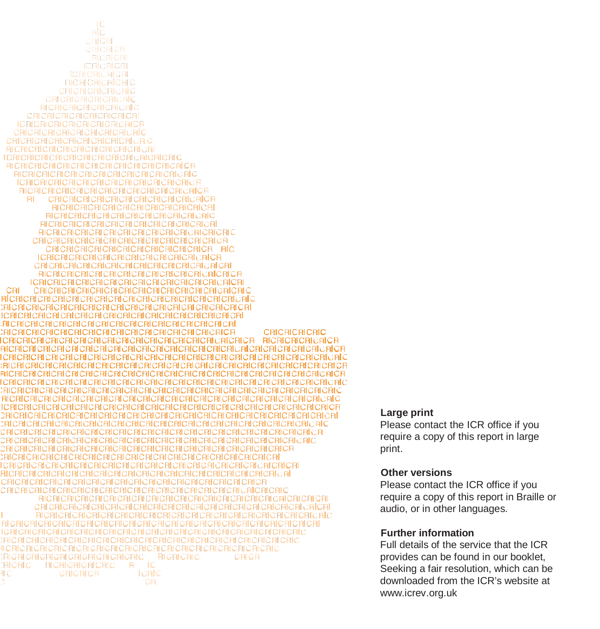ТC PIC. CRICR CRICRICR **RICRICRI ICRICRICRI ICRICRICRICR RICRICRICRIC** CRICRICRICRICRIC CRICRICRICRICRICRIC **RICRICRICRICRICRIC CRICRICRICRICRICRICRI ICRICRICRICRICRICRICRICF CRICRICRICRICRICRICRICRIC** CRICRICRICRICRICRICRICRICRIC **PICRICRICRICRICRICRICRICRICR CRICRICRICRICRICRICRICRICRICRICRIC RICRICRICRICRICRICRICRICRICRICRICRICR FICRICRICRICRICRICRICRICRICRICRICRIC ICRICRICRICRICRICRICRICRICRICRICRICF AICRICRICRICRICRICRICRICRICRICRICRICF**  $PI$ **CRICRICRICRICRICRICRICRICRICA RICRICRICRICRICRICRICRICRICRICRI RICRICRICRICRICRICRICRICRICRICRIC RICRICRICRICRICRICRICRICRICRICRICRI RICRICRICRICRICRICRICRICRICRICRICRIC** CRICRICRICRICRICRICRICRICRICRICRICRICR CRICRICRICRICRICRICRICRICRICRICR RIC **ICRICRICRICRICRICRICRICRICRICRICRICR** CRICRICRICRICRICRICRICRICRICRICRICRIC CRI **CRICRICRICRIC RICRICRICRICAICA** I CRICRICRI CRICRICRICRICRICRICRICRICRI CRICRICRICRICRICRICRICRIC **RICRICRICRICRICRICRICRICRIC RICRICRIC** CRICR  $R = IC$ **RICRIC RICRICRICRICRIC** RС CRICRICR **ICRIC** CR

#### **Large print**

Please contact the ICR office if you require a copy of this report in large print.

#### **Other versions**

Please contact the ICR office if you require a copy of this report in Braille or audio, or in other languages.

#### **Further information**

Full details of the service that the ICR provides can be found in our booklet, Seeking a fair resolution, which can be downloaded from the ICR's website at [www.icrev.org.uk](http://www.icrev.org.uk/)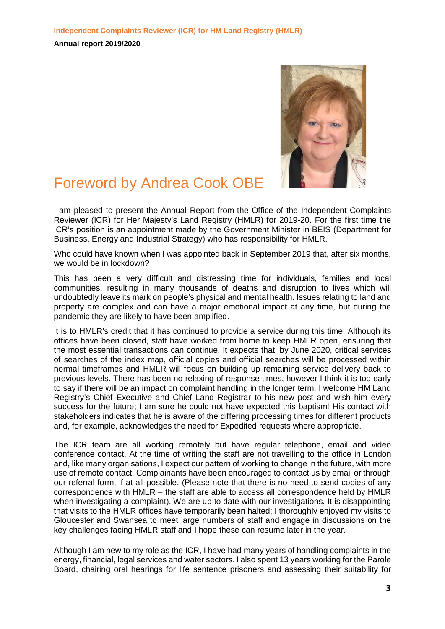

# Foreword by Andrea Cook OBE

I am pleased to present the Annual Report from the Office of the Independent Complaints Reviewer (ICR) for Her Majesty's Land Registry (HMLR) for 2019-20. For the first time the ICR's position is an appointment made by the Government Minister in BEIS (Department for Business, Energy and Industrial Strategy) who has responsibility for HMLR.

Who could have known when I was appointed back in September 2019 that, after six months, we would be in lockdown?

This has been a very difficult and distressing time for individuals, families and local communities, resulting in many thousands of deaths and disruption to lives which will undoubtedly leave its mark on people's physical and mental health. Issues relating to land and property are complex and can have a major emotional impact at any time, but during the pandemic they are likely to have been amplified.

It is to HMLR's credit that it has continued to provide a service during this time. Although its offices have been closed, staff have worked from home to keep HMLR open, ensuring that the most essential transactions can continue. It expects that, by June 2020, critical services of searches of the index map, official copies and official searches will be processed within normal timeframes and HMLR will focus on building up remaining service delivery back to previous levels. There has been no relaxing of response times, however I think it is too early to say if there will be an impact on complaint handling in the longer term. I welcome HM Land Registry's Chief Executive and Chief Land Registrar to his new post and wish him every success for the future; I am sure he could not have expected this baptism! His contact with stakeholders indicates that he is aware of the differing processing times for different products and, for example, acknowledges the need for Expedited requests where appropriate.

The ICR team are all working remotely but have regular telephone, email and video conference contact. At the time of writing the staff are not travelling to the office in London and, like many organisations, I expect our pattern of working to change in the future, with more use of remote contact. Complainants have been encouraged to contact us by email or through our referral form, if at all possible. (Please note that there is no need to send copies of any correspondence with HMLR – the staff are able to access all correspondence held by HMLR when investigating a complaint). We are up to date with our investigations. It is disappointing that visits to the HMLR offices have temporarily been halted; I thoroughly enjoyed my visits to Gloucester and Swansea to meet large numbers of staff and engage in discussions on the key challenges facing HMLR staff and I hope these can resume later in the year.

Although I am new to my role as the ICR, I have had many years of handling complaints in the energy, financial, legal services and water sectors. I also spent 13 years working for the Parole Board, chairing oral hearings for life sentence prisoners and assessing their suitability for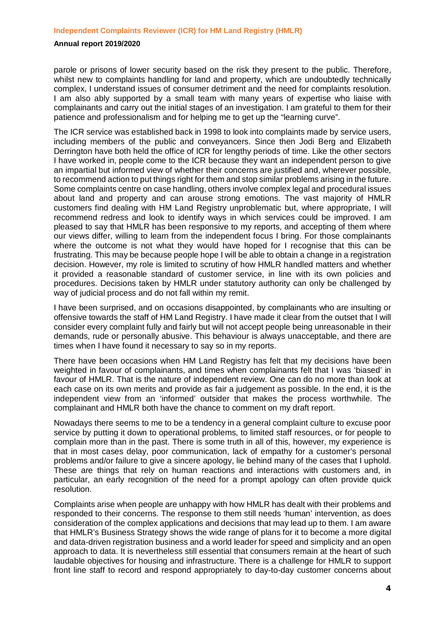parole or prisons of lower security based on the risk they present to the public. Therefore, whilst new to complaints handling for land and property, which are undoubtedly technically complex, I understand issues of consumer detriment and the need for complaints resolution. I am also ably supported by a small team with many years of expertise who liaise with complainants and carry out the initial stages of an investigation. I am grateful to them for their patience and professionalism and for helping me to get up the "learning curve".

The ICR service was established back in 1998 to look into complaints made by service users, including members of the public and conveyancers. Since then Jodi Berg and Elizabeth Derrington have both held the office of ICR for lengthy periods of time. Like the other sectors I have worked in, people come to the ICR because they want an independent person to give an impartial but informed view of whether their concerns are justified and, wherever possible, to recommend action to put things right for them and stop similar problems arising in the future. Some complaints centre on case handling, others involve complex legal and procedural issues about land and property and can arouse strong emotions. The vast majority of HMLR customers find dealing with HM Land Registry unproblematic but, where appropriate, I will recommend redress and look to identify ways in which services could be improved. I am pleased to say that HMLR has been responsive to my reports, and accepting of them where our views differ, willing to learn from the independent focus I bring. For those complainants where the outcome is not what they would have hoped for I recognise that this can be frustrating. This may be because people hope I will be able to obtain a change in a registration decision. However, my role is limited to scrutiny of how HMLR handled matters and whether it provided a reasonable standard of customer service, in line with its own policies and procedures. Decisions taken by HMLR under statutory authority can only be challenged by way of judicial process and do not fall within my remit.

I have been surprised, and on occasions disappointed, by complainants who are insulting or offensive towards the staff of HM Land Registry. I have made it clear from the outset that I will consider every complaint fully and fairly but will not accept people being unreasonable in their demands, rude or personally abusive. This behaviour is always unacceptable, and there are times when I have found it necessary to say so in my reports.

There have been occasions when HM Land Registry has felt that my decisions have been weighted in favour of complainants, and times when complainants felt that I was 'biased' in favour of HMLR. That is the nature of independent review. One can do no more than look at each case on its own merits and provide as fair a judgement as possible. In the end, it is the independent view from an 'informed' outsider that makes the process worthwhile. The complainant and HMLR both have the chance to comment on my draft report.

Nowadays there seems to me to be a tendency in a general complaint culture to excuse poor service by putting it down to operational problems, to limited staff resources, or for people to complain more than in the past. There is some truth in all of this, however, my experience is that in most cases delay, poor communication, lack of empathy for a customer's personal problems and/or failure to give a sincere apology, lie behind many of the cases that I uphold. These are things that rely on human reactions and interactions with customers and, in particular, an early recognition of the need for a prompt apology can often provide quick resolution.

Complaints arise when people are unhappy with how HMLR has dealt with their problems and responded to their concerns. The response to them still needs 'human' intervention, as does consideration of the complex applications and decisions that may lead up to them. I am aware that HMLR's Business Strategy shows the wide range of plans for it to become a more digital and data-driven registration business and a world leader for speed and simplicity and an open approach to data. It is nevertheless still essential that consumers remain at the heart of such laudable objectives for housing and infrastructure. There is a challenge for HMLR to support front line staff to record and respond appropriately to day-to-day customer concerns about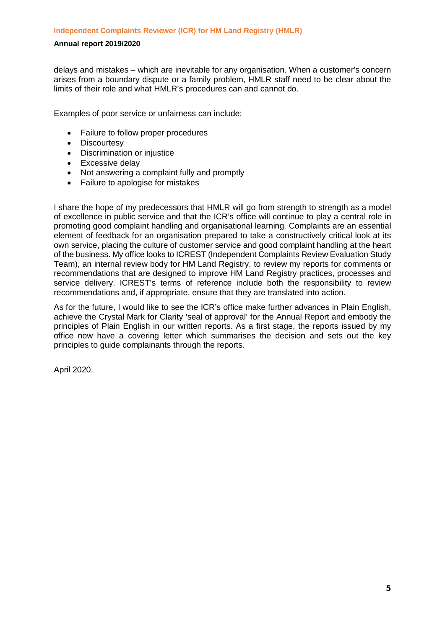delays and mistakes – which are inevitable for any organisation. When a customer's concern arises from a boundary dispute or a family problem, HMLR staff need to be clear about the limits of their role and what HMLR's procedures can and cannot do.

Examples of poor service or unfairness can include:

- Failure to follow proper procedures
- Discourtesy
- Discrimination or injustice
- Excessive delay
- Not answering a complaint fully and promptly
- Failure to apologise for mistakes

I share the hope of my predecessors that HMLR will go from strength to strength as a model of excellence in public service and that the ICR's office will continue to play a central role in promoting good complaint handling and organisational learning. Complaints are an essential element of feedback for an organisation prepared to take a constructively critical look at its own service, placing the culture of customer service and good complaint handling at the heart of the business. My office looks to ICREST (Independent Complaints Review Evaluation Study Team), an internal review body for HM Land Registry, to review my reports for comments or recommendations that are designed to improve HM Land Registry practices, processes and service delivery. ICREST's terms of reference include both the responsibility to review recommendations and, if appropriate, ensure that they are translated into action.

As for the future, I would like to see the ICR's office make further advances in Plain English, achieve the Crystal Mark for Clarity 'seal of approval' for the Annual Report and embody the principles of Plain English in our written reports. As a first stage, the reports issued by my office now have a covering letter which summarises the decision and sets out the key principles to guide complainants through the reports.

April 2020.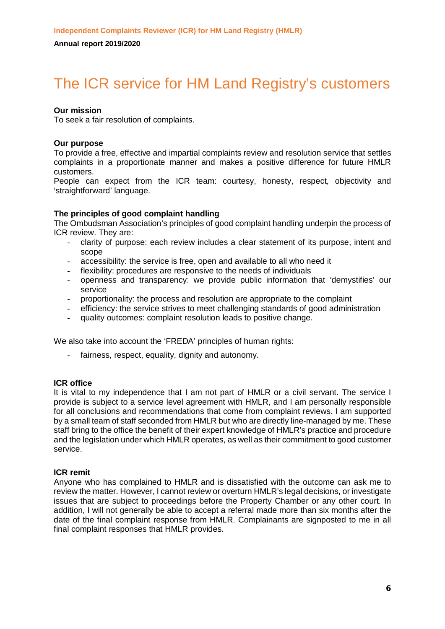# The ICR service for HM Land Registry's customers

### **Our mission**

To seek a fair resolution of complaints.

### **Our purpose**

To provide a free, effective and impartial complaints review and resolution service that settles complaints in a proportionate manner and makes a positive difference for future HMLR customers.

People can expect from the ICR team: courtesy, honesty, respect, objectivity and 'straightforward' language.

### **The principles of good complaint handling**

The Ombudsman Association's principles of good complaint handling underpin the process of ICR review. They are:

- clarity of purpose: each review includes a clear statement of its purpose, intent and scope
- accessibility: the service is free, open and available to all who need it
- flexibility: procedures are responsive to the needs of individuals
- openness and transparency: we provide public information that 'demystifies' our service
- proportionality: the process and resolution are appropriate to the complaint
- efficiency: the service strives to meet challenging standards of good administration
- quality outcomes: complaint resolution leads to positive change.

We also take into account the 'FREDA' principles of human rights:

fairness, respect, equality, dignity and autonomy.

### **ICR office**

It is vital to my independence that I am not part of HMLR or a civil servant. The service I provide is subject to a service level agreement with HMLR, and I am personally responsible for all conclusions and recommendations that come from complaint reviews. I am supported by a small team of staff seconded from HMLR but who are directly line-managed by me. These staff bring to the office the benefit of their expert knowledge of HMLR's practice and procedure and the legislation under which HMLR operates, as well as their commitment to good customer service.

### **ICR remit**

Anyone who has complained to HMLR and is dissatisfied with the outcome can ask me to review the matter. However, I cannot review or overturn HMLR's legal decisions, or investigate issues that are subject to proceedings before the Property Chamber or any other court. In addition, I will not generally be able to accept a referral made more than six months after the date of the final complaint response from HMLR. Complainants are signposted to me in all final complaint responses that HMLR provides.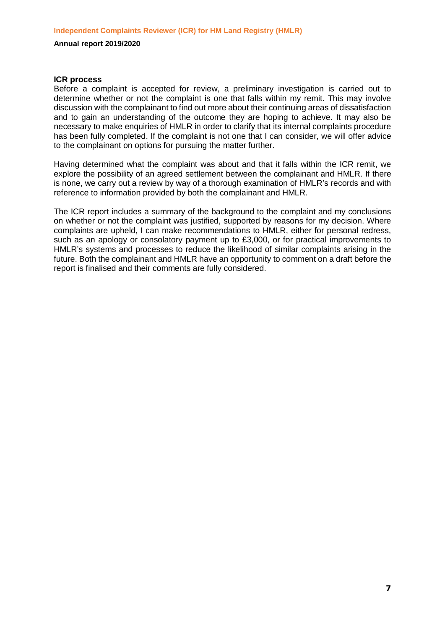#### **ICR process**

Before a complaint is accepted for review, a preliminary investigation is carried out to determine whether or not the complaint is one that falls within my remit. This may involve discussion with the complainant to find out more about their continuing areas of dissatisfaction and to gain an understanding of the outcome they are hoping to achieve. It may also be necessary to make enquiries of HMLR in order to clarify that its internal complaints procedure has been fully completed. If the complaint is not one that I can consider, we will offer advice to the complainant on options for pursuing the matter further.

Having determined what the complaint was about and that it falls within the ICR remit, we explore the possibility of an agreed settlement between the complainant and HMLR. If there is none, we carry out a review by way of a thorough examination of HMLR's records and with reference to information provided by both the complainant and HMLR.

The ICR report includes a summary of the background to the complaint and my conclusions on whether or not the complaint was justified, supported by reasons for my decision. Where complaints are upheld, I can make recommendations to HMLR, either for personal redress, such as an apology or consolatory payment up to £3,000, or for practical improvements to HMLR's systems and processes to reduce the likelihood of similar complaints arising in the future. Both the complainant and HMLR have an opportunity to comment on a draft before the report is finalised and their comments are fully considered.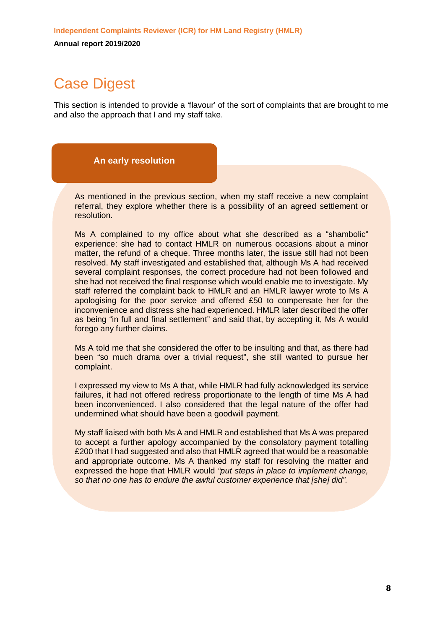# Case Digest

This section is intended to provide a 'flavour' of the sort of complaints that are brought to me and also the approach that I and my staff take.

### **An early resolution**

As mentioned in the previous section, when my staff receive a new complaint referral, they explore whether there is a possibility of an agreed settlement or resolution.

Ms A complained to my office about what she described as a "shambolic" experience: she had to contact HMLR on numerous occasions about a minor matter, the refund of a cheque. Three months later, the issue still had not been resolved. My staff investigated and established that, although Ms A had received several complaint responses, the correct procedure had not been followed and she had not received the final response which would enable me to investigate. My staff referred the complaint back to HMLR and an HMLR lawyer wrote to Ms A apologising for the poor service and offered £50 to compensate her for the inconvenience and distress she had experienced. HMLR later described the offer as being "in full and final settlement" and said that, by accepting it, Ms A would forego any further claims.

Ms A told me that she considered the offer to be insulting and that, as there had been "so much drama over a trivial request", she still wanted to pursue her complaint.

I expressed my view to Ms A that, while HMLR had fully acknowledged its service failures, it had not offered redress proportionate to the length of time Ms A had been inconvenienced. I also considered that the legal nature of the offer had undermined what should have been a goodwill payment.

My staff liaised with both Ms A and HMLR and established that Ms A was prepared to accept a further apology accompanied by the consolatory payment totalling £200 that I had suggested and also that HMLR agreed that would be a reasonable and appropriate outcome. Ms A thanked my staff for resolving the matter and expressed the hope that HMLR would *"put steps in place to implement change, so that no one has to endure the awful customer experience that [she] did".*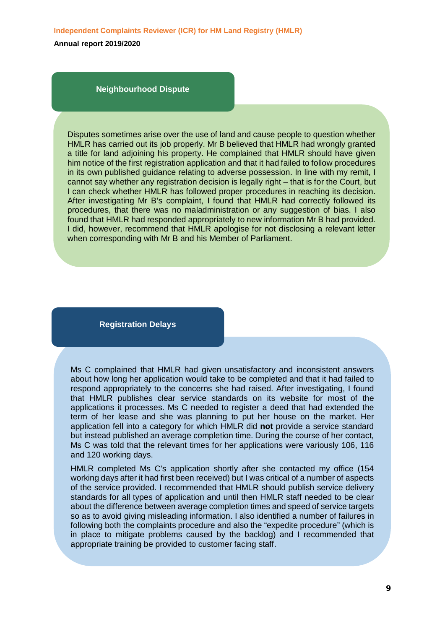**Independent Complaints Reviewer (ICR) for HM Land Registry (HMLR)**

**Annual report 2019/2020**

**Neighbourhood Dispute**

Disputes sometimes arise over the use of land and cause people to question whether HMLR has carried out its job properly. Mr B believed that HMLR had wrongly granted a title for land adjoining his property. He complained that HMLR should have given him notice of the first registration application and that it had failed to follow procedures in its own published guidance relating to adverse possession. In line with my remit, I cannot say whether any registration decision is legally right – that is for the Court, but I can check whether HMLR has followed proper procedures in reaching its decision. After investigating Mr B's complaint, I found that HMLR had correctly followed its procedures, that there was no maladministration or any suggestion of bias. I also found that HMLR had responded appropriately to new information Mr B had provided. I did, however, recommend that HMLR apologise for not disclosing a relevant letter when corresponding with Mr B and his Member of Parliament.

### **Registration Delays**

Ms C complained that HMLR had given unsatisfactory and inconsistent answers about how long her application would take to be completed and that it had failed to respond appropriately to the concerns she had raised. After investigating, I found that HMLR publishes clear service standards on its website for most of the applications it processes. Ms C needed to register a deed that had extended the term of her lease and she was planning to put her house on the market. Her application fell into a category for which HMLR did **not** provide a service standard but instead published an average completion time. During the course of her contact, Ms C was told that the relevant times for her applications were variously 106, 116 and 120 working days.

HMLR completed Ms C's application shortly after she contacted my office (154 working days after it had first been received) but I was critical of a number of aspects of the service provided. I recommended that HMLR should publish service delivery standards for all types of application and until then HMLR staff needed to be clear about the difference between average completion times and speed of service targets so as to avoid giving misleading information. I also identified a number of failures in following both the complaints procedure and also the "expedite procedure" (which is in place to mitigate problems caused by the backlog) and I recommended that appropriate training be provided to customer facing staff.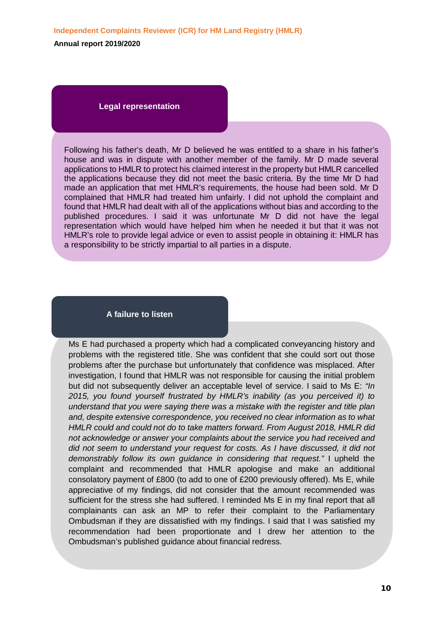#### **Legal representation**

Following his father's death, Mr D believed he was entitled to a share in his father's house and was in dispute with another member of the family. Mr D made several applications to HMLR to protect his claimed interest in the property but HMLR cancelled the applications because they did not meet the basic criteria. By the time Mr D had made an application that met HMLR's requirements, the house had been sold. Mr D complained that HMLR had treated him unfairly. I did not uphold the complaint and found that HMLR had dealt with all of the applications without bias and according to the published procedures. I said it was unfortunate Mr D did not have the legal representation which would have helped him when he needed it but that it was not HMLR's role to provide legal advice or even to assist people in obtaining it: HMLR has a responsibility to be strictly impartial to all parties in a dispute.

### **A failure to listen**

j

Ms E had purchased a property which had a complicated conveyancing history and problems with the registered title. She was confident that she could sort out those problems after the purchase but unfortunately that confidence was misplaced. After investigation, I found that HMLR was not responsible for causing the initial problem but did not subsequently deliver an acceptable level of service. I said to Ms E: *"In 2015, you found yourself frustrated by HMLR's inability (as you perceived it) to understand that you were saying there was a mistake with the register and title plan and, despite extensive correspondence, you received no clear information as to what HMLR could and could not do to take matters forward. From August 2018, HMLR did not acknowledge or answer your complaints about the service you had received and did not seem to understand your request for costs. As I have discussed, it did not demonstrably follow its own guidance in considering that request."* I upheld the complaint and recommended that HMLR apologise and make an additional consolatory payment of £800 (to add to one of £200 previously offered). Ms E, while appreciative of my findings, did not consider that the amount recommended was sufficient for the stress she had suffered. I reminded Ms E in my final report that all complainants can ask an MP to refer their complaint to the Parliamentary Ombudsman if they are dissatisfied with my findings. I said that I was satisfied my recommendation had been proportionate and I drew her attention to the Ombudsman's published guidance about financial redress.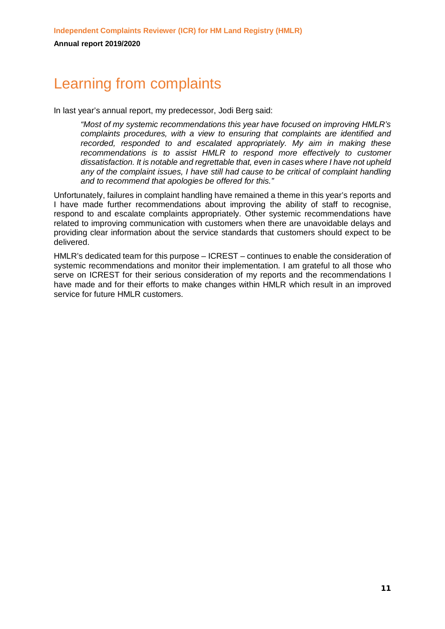# Learning from complaints

In last year's annual report, my predecessor, Jodi Berg said:

*"Most of my systemic recommendations this year have focused on improving HMLR's complaints procedures, with a view to ensuring that complaints are identified and recorded, responded to and escalated appropriately. My aim in making these recommendations is to assist HMLR to respond more effectively to customer dissatisfaction. It is notable and regrettable that, even in cases where I have not upheld any of the complaint issues, I have still had cause to be critical of complaint handling and to recommend that apologies be offered for this."*

Unfortunately, failures in complaint handling have remained a theme in this year's reports and I have made further recommendations about improving the ability of staff to recognise, respond to and escalate complaints appropriately. Other systemic recommendations have related to improving communication with customers when there are unavoidable delays and providing clear information about the service standards that customers should expect to be delivered.

HMLR's dedicated team for this purpose – ICREST – continues to enable the consideration of systemic recommendations and monitor their implementation. I am grateful to all those who serve on ICREST for their serious consideration of my reports and the recommendations I have made and for their efforts to make changes within HMLR which result in an improved service for future HMLR customers.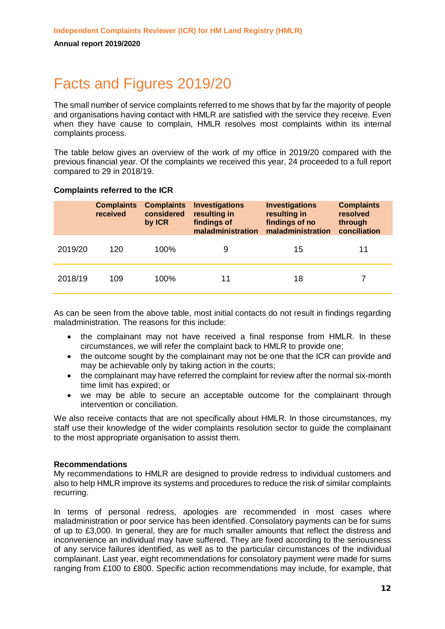# Facts and Figures 2019/20

The small number of service complaints referred to me shows that by far the majority of people and organisations having contact with HMLR are satisfied with the service they receive. Even when they have cause to complain, HMLR resolves most complaints within its internal complaints process.

The table below gives an overview of the work of my office in 2019/20 compared with the previous financial year. Of the complaints we received this year, 24 proceeded to a full report compared to 29 in 2018/19.

### **Complaints referred to the ICR**

|         | <b>Complaints</b><br>received | <b>Complaints</b><br>considered<br>by ICR | <b>Investigations</b><br>resulting in<br>findings of<br>maladministration | <b>Investigations</b><br>resulting in<br>findings of no<br>maladministration | <b>Complaints</b><br>resolved<br>through<br>conciliation |
|---------|-------------------------------|-------------------------------------------|---------------------------------------------------------------------------|------------------------------------------------------------------------------|----------------------------------------------------------|
| 2019/20 | 120                           | 100%                                      | 9                                                                         | 15                                                                           | 11                                                       |
| 2018/19 | 109                           | 100%                                      | 11                                                                        | 18                                                                           |                                                          |

As can be seen from the above table, most initial contacts do not result in findings regarding maladministration. The reasons for this include:

- the complainant may not have received a final response from HMLR. In these circumstances, we will refer the complaint back to HMLR to provide one;
- the outcome sought by the complainant may not be one that the ICR can provide and may be achievable only by taking action in the courts;
- the complainant may have referred the complaint for review after the normal six-month time limit has expired; or
- we may be able to secure an acceptable outcome for the complainant through intervention or conciliation.

We also receive contacts that are not specifically about HMLR. In those circumstances, my staff use their knowledge of the wider complaints resolution sector to guide the complainant to the most appropriate organisation to assist them.

### **Recommendations**

My recommendations to HMLR are designed to provide redress to individual customers and also to help HMLR improve its systems and procedures to reduce the risk of similar complaints recurring.

In terms of personal redress, apologies are recommended in most cases where maladministration or poor service has been identified. Consolatory payments can be for sums of up to £3,000. In general, they are for much smaller amounts that reflect the distress and inconvenience an individual may have suffered. They are fixed according to the seriousness of any service failures identified, as well as to the particular circumstances of the individual complainant. Last year, eight recommendations for consolatory payment were made for sums ranging from £100 to £800. Specific action recommendations may include, for example, that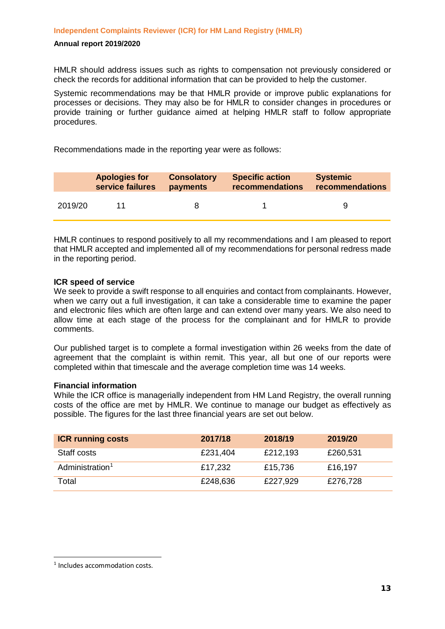HMLR should address issues such as rights to compensation not previously considered or check the records for additional information that can be provided to help the customer.

Systemic recommendations may be that HMLR provide or improve public explanations for processes or decisions. They may also be for HMLR to consider changes in procedures or provide training or further guidance aimed at helping HMLR staff to follow appropriate procedures.

Recommendations made in the reporting year were as follows:

|         | <b>Apologies for</b> | <b>Consolatory</b> | <b>Specific action</b> | <b>Systemic</b> |
|---------|----------------------|--------------------|------------------------|-----------------|
|         | service failures     | payments           | recommendations        | recommendations |
| 2019/20 |                      |                    |                        |                 |

HMLR continues to respond positively to all my recommendations and I am pleased to report that HMLR accepted and implemented all of my recommendations for personal redress made in the reporting period.

### **ICR speed of service**

We seek to provide a swift response to all enquiries and contact from complainants. However, when we carry out a full investigation, it can take a considerable time to examine the paper and electronic files which are often large and can extend over many years. We also need to allow time at each stage of the process for the complainant and for HMLR to provide comments.

Our published target is to complete a formal investigation within 26 weeks from the date of agreement that the complaint is within remit. This year, all but one of our reports were completed within that timescale and the average completion time was 14 weeks.

### **Financial information**

While the ICR office is managerially independent from HM Land Registry, the overall running costs of the office are met by HMLR. We continue to manage our budget as effectively as possible. The figures for the last three financial years are set out below.

| <b>ICR running costs</b>    | 2017/18  | 2018/19  | 2019/20  |
|-----------------------------|----------|----------|----------|
| Staff costs                 | £231,404 | £212,193 | £260,531 |
| Administration <sup>1</sup> | £17,232  | £15,736  | £16,197  |
| Total                       | £248,636 | £227,929 | £276,728 |

<span id="page-12-0"></span><sup>&</sup>lt;sup>1</sup> Includes accommodation costs.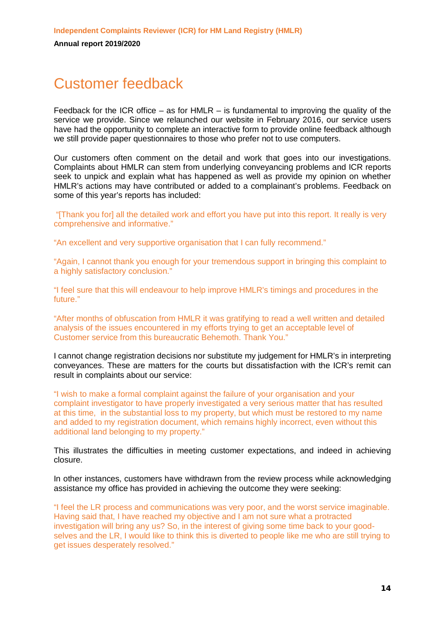# Customer feedback

Feedback for the ICR office – as for HMLR – is fundamental to improving the quality of the service we provide. Since we relaunched our website in February 2016, our service users have had the opportunity to complete an interactive form to provide online feedback although we still provide paper questionnaires to those who prefer not to use computers.

Our customers often comment on the detail and work that goes into our investigations. Complaints about HMLR can stem from underlying conveyancing problems and ICR reports seek to unpick and explain what has happened as well as provide my opinion on whether HMLR's actions may have contributed or added to a complainant's problems. Feedback on some of this year's reports has included:

"[Thank you for] all the detailed work and effort you have put into this report. It really is very comprehensive and informative."

"An excellent and very supportive organisation that I can fully recommend."

"Again, I cannot thank you enough for your tremendous support in bringing this complaint to a highly satisfactory conclusion."

"I feel sure that this will endeavour to help improve HMLR's timings and procedures in the future."

"After months of obfuscation from HMLR it was gratifying to read a well written and detailed analysis of the issues encountered in my efforts trying to get an acceptable level of Customer service from this bureaucratic Behemoth. Thank You."

I cannot change registration decisions nor substitute my judgement for HMLR's in interpreting conveyances. These are matters for the courts but dissatisfaction with the ICR's remit can result in complaints about our service:

"I wish to make a formal complaint against the failure of your organisation and your complaint investigator to have properly investigated a very serious matter that has resulted at this time, in the substantial loss to my property, but which must be restored to my name and added to my registration document, which remains highly incorrect, even without this additional land belonging to my property."

This illustrates the difficulties in meeting customer expectations, and indeed in achieving closure.

In other instances, customers have withdrawn from the review process while acknowledging assistance my office has provided in achieving the outcome they were seeking:

"I feel the LR process and communications was very poor, and the worst service imaginable. Having said that, I have reached my objective and I am not sure what a protracted investigation will bring any us? So, in the interest of giving some time back to your goodselves and the LR, I would like to think this is diverted to people like me who are still trying to get issues desperately resolved."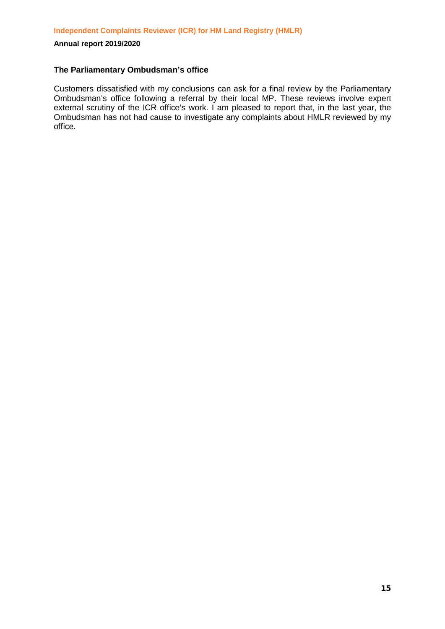### **The Parliamentary Ombudsman's office**

Customers dissatisfied with my conclusions can ask for a final review by the Parliamentary Ombudsman's office following a referral by their local MP. These reviews involve expert external scrutiny of the ICR office's work. I am pleased to report that, in the last year, the Ombudsman has not had cause to investigate any complaints about HMLR reviewed by my office.